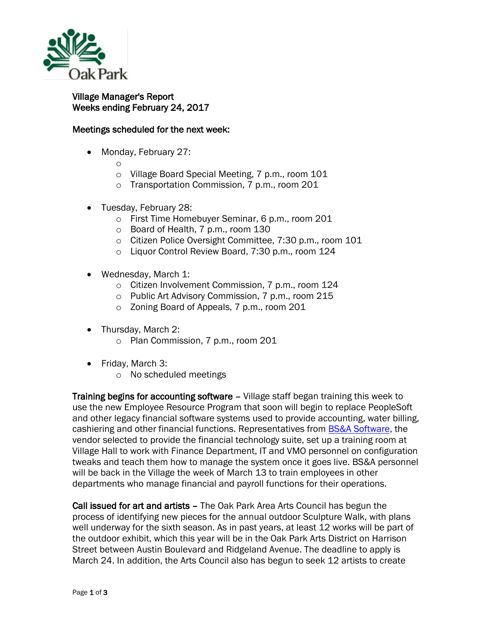

## Village Manager's Report Weeks ending February 24, 2017

## Meetings scheduled for the next week:

• Monday, February 27:

o

- o Village Board Special Meeting, 7 p.m., room 101
- o Transportation Commission, 7 p.m., room 201
- Tuesday, February 28:
	- o First Time Homebuyer Seminar, 6 p.m., room 201
	- o Board of Health, 7 p.m., room 130
	- o Citizen Police Oversight Committee, 7:30 p.m., room 101
	- o Liquor Control Review Board, 7:30 p.m., room 124
- Wednesday, March 1:
	- o Citizen Involvement Commission, 7 p.m., room 124
	- o Public Art Advisory Commission, 7 p.m., room 215
	- o Zoning Board of Appeals, 7 p.m., room 201
- Thursday, March 2:
	- o Plan Commission, 7 p.m., room 201
- Friday, March 3:
	- o No scheduled meetings

Training begins for accounting software – Village staff began training this week to use the new Employee Resource Program that soon will begin to replace PeopleSoft and other legacy financial software systems used to provide accounting, water billing, cashiering and other financial functions. Representatives from [BS&A Software,](http://www.bsasoftware.com/) the vendor selected to provide the financial technology suite, set up a training room at Village Hall to work with Finance Department, IT and VMO personnel on configuration tweaks and teach them how to manage the system once it goes live. BS&A personnel will be back in the Village the week of March 13 to train employees in other departments who manage financial and payroll functions for their operations.

Call issued for art and artists – The Oak Park Area Arts Council has begun the process of identifying new pieces for the annual outdoor Sculpture Walk, with plans well underway for the sixth season. As in past years, at least 12 works will be part of the outdoor exhibit, which this year will be in the Oak Park Arts District on Harrison Street between Austin Boulevard and Ridgeland Avenue. The deadline to apply is March 24. In addition, the Arts Council also has begun to seek 12 artists to create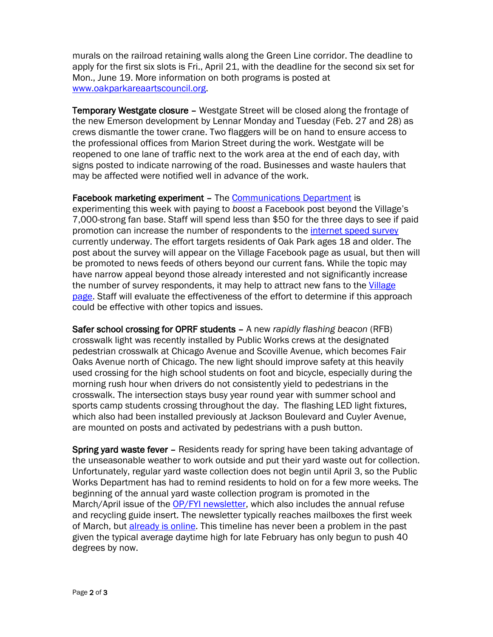murals on the railroad retaining walls along the Green Line corridor. The deadline to apply for the first six slots is Fri., April 21, with the deadline for the second six set for Mon., June 19. More information on both programs is posted at [www.oakparkareaartscouncil.org.](http://www.oakparkareaartscouncil.org/)

Temporary Westgate closure – Westgate Street will be closed along the frontage of the new Emerson development by Lennar Monday and Tuesday (Feb. 27 and 28) as crews dismantle the tower crane. Two flaggers will be on hand to ensure access to the professional offices from Marion Street during the work. Westgate will be reopened to one lane of traffic next to the work area at the end of each day, with signs posted to indicate narrowing of the road. Businesses and waste haulers that may be affected were notified well in advance of the work.

Facebook marketing experiment – The [Communications Department](http://www.oak-park.us/your-government/village-manager/public-information-office) is

experimenting this week with paying to *boost* a Facebook post beyond the Village's 7,000-strong fan base. Staff will spend less than \$50 for the three days to see if paid promotion can increase the number of respondents to the [internet speed survey](https://www.surveymonkey.com/r/WWNJXN2) currently underway. The effort targets residents of Oak Park ages 18 and older. The post about the survey will appear on the Village Facebook page as usual, but then will be promoted to news feeds of others beyond our current fans. While the topic may have narrow appeal beyond those already interested and not significantly increase the number of survey respondents, it may help to attract new fans to the Village [page.](https://www.facebook.com/vopnews/) Staff will evaluate the effectiveness of the effort to determine if this approach could be effective with other topics and issues.

Safer school crossing for OPRF students – A new *rapidly flashing beacon* (RFB) crosswalk light was recently installed by Public Works crews at the designated pedestrian crosswalk at Chicago Avenue and Scoville Avenue, which becomes Fair Oaks Avenue north of Chicago. The new light should improve safety at this heavily used crossing for the high school students on foot and bicycle, especially during the morning rush hour when drivers do not consistently yield to pedestrians in the crosswalk. The intersection stays busy year round year with summer school and sports camp students crossing throughout the day. The flashing LED light fixtures, which also had been installed previously at Jackson Boulevard and Cuyler Avenue, are mounted on posts and activated by pedestrians with a push button.

Spring yard waste fever – Residents ready for spring have been taking advantage of the unseasonable weather to work outside and put their yard waste out for collection. Unfortunately, regular yard waste collection does not begin until April 3, so the Public Works Department has had to remind residents to hold on for a few more weeks. The beginning of the annual yard waste collection program is promoted in the March/April issue of the [OP/FYI newsletter,](http://www.oak-park.us/newsletters) which also includes the annual refuse and recycling guide insert. The newsletter typically reaches mailboxes the first week of March, but *already is online*. This timeline has never been a problem in the past given the typical average daytime high for late February has only begun to push 40 degrees by now.